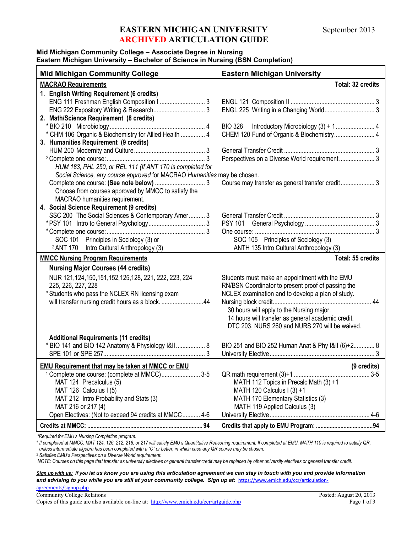## **EASTERN MICHIGAN UNIVERSITY** September 2013 **ARCHIVED ARTICULATION GUIDE**

#### **Mid Michigan Community College – Associate Degree in Nursing Eastern Michigan University – Bachelor of Science in Nursing (BSN Completion)**

| Total: 32 credits<br><b>MACRAO Requirements</b><br>1. English Writing Requirement (6 credits)<br>2. Math/Science Requirement (8 credits)<br><b>BIO 328</b><br>* CHM 106 Organic & Biochemistry for Allied Health  4<br>CHEM 120 Fund of Organic & Biochemistry 4<br>3. Humanities Requirement (9 credits)<br>Perspectives on a Diverse World requirement 3<br>HUM 183, PHL 250, or REL 111 (If ANT 170 is completed for<br>Social Science, any course approved for MACRAO Humanities may be chosen.<br>Course may transfer as general transfer credit 3<br>Choose from courses approved by MMCC to satisfy the<br>MACRAO humanities requirement.<br>4. Social Science Requirement (9 credits)<br>SSC 200 The Social Sciences & Contemporary Amer 3<br>SOC 105 Principles of Sociology (3)<br>SOC 101 Principles in Sociology (3) or |
|-------------------------------------------------------------------------------------------------------------------------------------------------------------------------------------------------------------------------------------------------------------------------------------------------------------------------------------------------------------------------------------------------------------------------------------------------------------------------------------------------------------------------------------------------------------------------------------------------------------------------------------------------------------------------------------------------------------------------------------------------------------------------------------------------------------------------------------|
|                                                                                                                                                                                                                                                                                                                                                                                                                                                                                                                                                                                                                                                                                                                                                                                                                                     |
|                                                                                                                                                                                                                                                                                                                                                                                                                                                                                                                                                                                                                                                                                                                                                                                                                                     |
|                                                                                                                                                                                                                                                                                                                                                                                                                                                                                                                                                                                                                                                                                                                                                                                                                                     |
|                                                                                                                                                                                                                                                                                                                                                                                                                                                                                                                                                                                                                                                                                                                                                                                                                                     |
|                                                                                                                                                                                                                                                                                                                                                                                                                                                                                                                                                                                                                                                                                                                                                                                                                                     |
|                                                                                                                                                                                                                                                                                                                                                                                                                                                                                                                                                                                                                                                                                                                                                                                                                                     |
|                                                                                                                                                                                                                                                                                                                                                                                                                                                                                                                                                                                                                                                                                                                                                                                                                                     |
|                                                                                                                                                                                                                                                                                                                                                                                                                                                                                                                                                                                                                                                                                                                                                                                                                                     |
|                                                                                                                                                                                                                                                                                                                                                                                                                                                                                                                                                                                                                                                                                                                                                                                                                                     |
|                                                                                                                                                                                                                                                                                                                                                                                                                                                                                                                                                                                                                                                                                                                                                                                                                                     |
|                                                                                                                                                                                                                                                                                                                                                                                                                                                                                                                                                                                                                                                                                                                                                                                                                                     |
|                                                                                                                                                                                                                                                                                                                                                                                                                                                                                                                                                                                                                                                                                                                                                                                                                                     |
|                                                                                                                                                                                                                                                                                                                                                                                                                                                                                                                                                                                                                                                                                                                                                                                                                                     |
|                                                                                                                                                                                                                                                                                                                                                                                                                                                                                                                                                                                                                                                                                                                                                                                                                                     |
|                                                                                                                                                                                                                                                                                                                                                                                                                                                                                                                                                                                                                                                                                                                                                                                                                                     |
|                                                                                                                                                                                                                                                                                                                                                                                                                                                                                                                                                                                                                                                                                                                                                                                                                                     |
|                                                                                                                                                                                                                                                                                                                                                                                                                                                                                                                                                                                                                                                                                                                                                                                                                                     |
|                                                                                                                                                                                                                                                                                                                                                                                                                                                                                                                                                                                                                                                                                                                                                                                                                                     |
|                                                                                                                                                                                                                                                                                                                                                                                                                                                                                                                                                                                                                                                                                                                                                                                                                                     |
|                                                                                                                                                                                                                                                                                                                                                                                                                                                                                                                                                                                                                                                                                                                                                                                                                                     |
| <sup>2</sup> ANT 170 Intro Cultural Anthropology (3)<br>ANTH 135 Intro Cultural Anthropology (3)                                                                                                                                                                                                                                                                                                                                                                                                                                                                                                                                                                                                                                                                                                                                    |
| Total: 55 credits<br><b>MMCC Nursing Program Requirements</b>                                                                                                                                                                                                                                                                                                                                                                                                                                                                                                                                                                                                                                                                                                                                                                       |
| <b>Nursing Major Courses (44 credits)</b>                                                                                                                                                                                                                                                                                                                                                                                                                                                                                                                                                                                                                                                                                                                                                                                           |
| NUR 121, 124, 150, 151, 152, 125, 128, 221, 222, 223, 224<br>Students must make an appointment with the EMU                                                                                                                                                                                                                                                                                                                                                                                                                                                                                                                                                                                                                                                                                                                         |
| 225, 226, 227, 228<br>RN/BSN Coordinator to present proof of passing the                                                                                                                                                                                                                                                                                                                                                                                                                                                                                                                                                                                                                                                                                                                                                            |
| *Students who pass the NCLEX RN licensing exam<br>NCLEX examination and to develop a plan of study.                                                                                                                                                                                                                                                                                                                                                                                                                                                                                                                                                                                                                                                                                                                                 |
| will transfer nursing credit hours as a block. 44                                                                                                                                                                                                                                                                                                                                                                                                                                                                                                                                                                                                                                                                                                                                                                                   |
| 30 hours will apply to the Nursing major.                                                                                                                                                                                                                                                                                                                                                                                                                                                                                                                                                                                                                                                                                                                                                                                           |
| 14 hours will transfer as general academic credit.                                                                                                                                                                                                                                                                                                                                                                                                                                                                                                                                                                                                                                                                                                                                                                                  |
| DTC 203, NURS 260 and NURS 270 will be waived.                                                                                                                                                                                                                                                                                                                                                                                                                                                                                                                                                                                                                                                                                                                                                                                      |
| <b>Additional Requirements (11 credits)</b>                                                                                                                                                                                                                                                                                                                                                                                                                                                                                                                                                                                                                                                                                                                                                                                         |
| * BIO 141 and BIO 142 Anatomy & Physiology I&II  8<br>BIO 251 and BIO 252 Human Anat & Phy 1&II (6)+2 8                                                                                                                                                                                                                                                                                                                                                                                                                                                                                                                                                                                                                                                                                                                             |
|                                                                                                                                                                                                                                                                                                                                                                                                                                                                                                                                                                                                                                                                                                                                                                                                                                     |
| EMU Requirement that may be taken at MMCC or EMU<br>(9 credits)                                                                                                                                                                                                                                                                                                                                                                                                                                                                                                                                                                                                                                                                                                                                                                     |
| <sup>1</sup> Complete one course: (complete at MMCC) 3-5                                                                                                                                                                                                                                                                                                                                                                                                                                                                                                                                                                                                                                                                                                                                                                            |
| MAT 124 Precalculus (5)<br>MATH 112 Topics in Precalc Math (3) +1                                                                                                                                                                                                                                                                                                                                                                                                                                                                                                                                                                                                                                                                                                                                                                   |
| MAT 126 Calculus I (5)<br>MATH 120 Calculus I (3) +1                                                                                                                                                                                                                                                                                                                                                                                                                                                                                                                                                                                                                                                                                                                                                                                |
| MAT 212 Intro Probability and Stats (3)<br>MATH 170 Elementary Statistics (3)                                                                                                                                                                                                                                                                                                                                                                                                                                                                                                                                                                                                                                                                                                                                                       |
| MAT 216 or 217 (4)<br>MATH 119 Applied Calculus (3)                                                                                                                                                                                                                                                                                                                                                                                                                                                                                                                                                                                                                                                                                                                                                                                 |
| Open Electives: (Not to exceed 94 credits at MMCC 4-6                                                                                                                                                                                                                                                                                                                                                                                                                                                                                                                                                                                                                                                                                                                                                                               |
|                                                                                                                                                                                                                                                                                                                                                                                                                                                                                                                                                                                                                                                                                                                                                                                                                                     |

*\*Required for EMU's Nursing Completion program.*

*<sup>1</sup> If completed at MMCC, MAT 124, 126, 212, 216, or 217 will satisfy EMU's Quantitative Reasoning requirement. If completed at EMU, MATH 110 is required to satisfy QR, unless intermediate algebra has been completed with a "C" or better, in which case any QR course may be chosen.*

*<sup>2</sup> Satisfies EMU's Perspectives on a Diverse World requirement.*

*NOTE: Courses on this page that transfer as university electives or general transfer credit may be replaced by other university electives or general transfer credit.*

*Sign up with us: If you let us know you are using this articulation agreement we can stay in touch with you and provide information*  and advising to you while you are still at your community college. Sign up at: [https://www.emich.edu/ccr/articulation](https://www.emich.edu/ccr/articulation-agreements/signup.php)[agreements/signup.php](https://www.emich.edu/ccr/articulation-agreements/signup.php)

| Community College Relations                                                               | Posted: August 20, 2013 |
|-------------------------------------------------------------------------------------------|-------------------------|
| Copies of this guide are also available on-line at: http://www.emich.edu/ccr/artguide.php | Page 1 of 3             |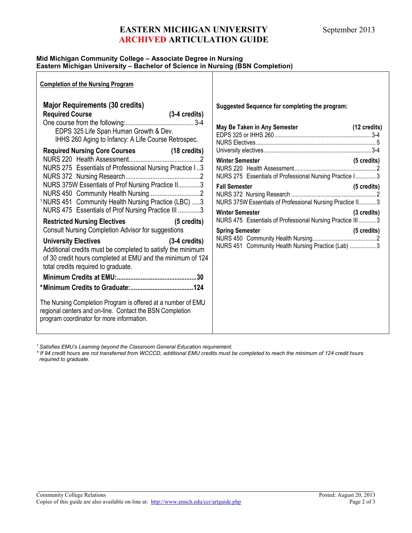# **EASTERN MICHIGAN UNIVERSITY** September 2013 **ARCHIVED ARTICULATION GUIDE**

#### **Mid Michigan Community College – Associate Degree in Nursing Eastern Michigan University – Bachelor of Science in Nursing (BSN Completion)**

| <b>Completion of the Nursing Program</b>                                                                                                                                                                                                                                                                                                                                                                                                                                                                                                                                                                                                                                                                                                                                        |                                                                                                                                                                                                                                                                                                                                                                                                                                                                |
|---------------------------------------------------------------------------------------------------------------------------------------------------------------------------------------------------------------------------------------------------------------------------------------------------------------------------------------------------------------------------------------------------------------------------------------------------------------------------------------------------------------------------------------------------------------------------------------------------------------------------------------------------------------------------------------------------------------------------------------------------------------------------------|----------------------------------------------------------------------------------------------------------------------------------------------------------------------------------------------------------------------------------------------------------------------------------------------------------------------------------------------------------------------------------------------------------------------------------------------------------------|
| <b>Major Requirements (30 credits)</b><br><b>Required Course</b><br>EDPS 325 Life Span Human Growth & Dev.<br>IHHS 260 Aging to Infancy: A Life Course Retrospec.                                                                                                                                                                                                                                                                                                                                                                                                                                                                                                                                                                                                               | Suggested Sequence for completing the program:<br>$(3-4 \text{ credits})$<br>May Be Taken in Any Semester (12 credits)                                                                                                                                                                                                                                                                                                                                         |
| Required Nursing Core Courses (18 credits)<br>NURS 275 Essentials of Professional Nursing Practice I3<br>NURS 375W Essentials of Prof Nursing Practice II3<br><sup>1</sup> NURS 451 Community Health Nursing Practice (LBC) 3<br>NURS 475 Essentials of Prof Nursing Practice III 3<br><b>Restricted Nursing Electives</b> (5 credits)<br><b>Consult Nursing Completion Advisor for suggestions</b><br><b>University Electives</b><br>Additional credits must be completed to satisfy the minimum<br>of 30 credit hours completed at EMU and the minimum of 124<br>total credits required to graduate.<br>The Nursing Completion Program is offered at a number of EMU<br>regional centers and on-line. Contact the BSN Completion<br>program coordinator for more information. | <b>Winter Semester</b><br>(5 credits)<br>NURS 275 Essentials of Professional Nursing Practice I  3<br><b>Fall Semester</b><br>(5 credits)<br>NURS 375W Essentials of Professional Nursing Practice II 3<br><b>Winter Semester</b><br>$(3 \text{ credits})$<br>NURS 475 Essentials of Professional Nursing Practice III  3<br><b>Spring Semester</b><br>$(5 \text{ credits})$<br>$(3-4 \text{ credits})$<br>NURS 451 Community Health Nursing Practice (Lab)  3 |

*<sup>1</sup> Satisfies EMU's Learning beyond the Classroom General Education requirement.*

*\* If 94 credit hours are not transferred from WCCCD, additional EMU credits must be completed to reach the minimum of 124 credit hours required to graduate.*